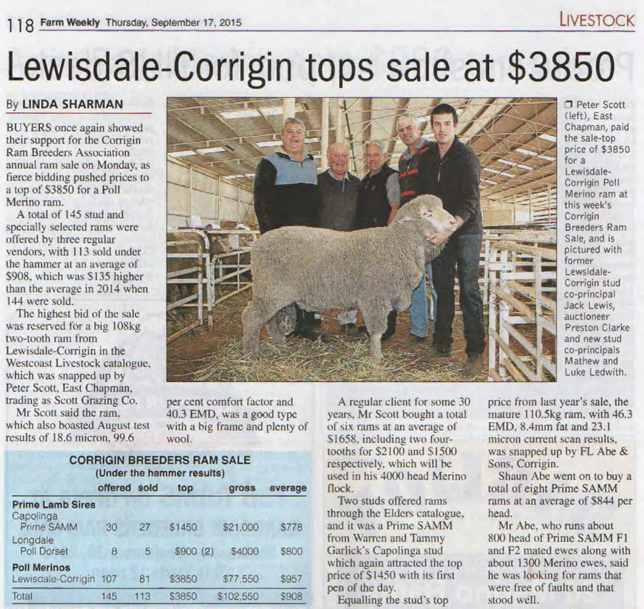# **Farm Weekly Thursday, September 17, 2015** LIVESTOCK

# Lewisdale-Corrigin tops sale at \$3850

# By liNDA SHARMAN

BUYERS once again showed their support for the Corrigin Ram Breeders Association annual ram sale on Monday, as fierce bidding pushed prices to a top of \$3850 for a Poll Merino ram.

A total of 145 stud and specially selected rams were offered by three regular vendors, with I 13 sold under the hammer at an average of \$908, which was \$135 higher than the average in 2014 when 144 were sold.

The highest bid of the sale was reserved for a big 108kg two-tooth ram from Lewisdale-Corrigin in the Westcoast Livestock catalogue, which was snapped up by Peter Scott, East Chapman, trading as Scott Grazing Co.

Mr Scott said the ram, which also boasted August test results of 18.6 micron, 99.6

per cent comfort factor and 40.3 EMD, was a good type with a big frame and plenty of wool.

### CORRIGIN BREEDERS RAM SALE (Under the hammer results)

|                         | offered  | sold | top      | gross     | average      |
|-------------------------|----------|------|----------|-----------|--------------|
| <b>Prime Lamb Sires</b> |          |      |          |           |              |
| Capolinga<br>Prime SAMM | 30       | 27   | \$1450   | \$21,000  | <b>\$778</b> |
| Longdale<br>Poll Dorset | $\theta$ | 5    | \$900(2) | \$4000    | \$800        |
| <b>Poll Merinos</b>     |          |      |          |           |              |
| Lewisdale-Corrigin      | 107      | 81   | \$3850   | \$77,550  | \$957        |
| Total                   | 145      | 113  | \$3850   | \$102,550 | \$908        |
|                         |          |      |          |           |              |

of six rams at an average of \$1658. including two fourtooths for \$2100 and \$1500 respectively, which will be

flock.

Two studs offered rams through the Elders catalogue, and it was a Prime SAMM from Warren and Tammy Garlick's Capolinga stud which again attracted the top price of \$1450 with its first pen of the day.

Equalling the stud's top

**D** Peter Scott (left), East Chapman, paid the sale-top price of \$3850 for a Lewisdale-Corrigin Poll Merino ram at this week's Corrigin Breeders Ram Sale, and is pictured with former Lewsidale-Corrigin stud co-principal Jack Lewis, auctioneer Preston Clarke and new stud co-principals Mathew and Luke Ledwith.

A regular client for some 30 years, Mr Scott bought a total used in his 4000 head Merino price from last year's sale. the mature 110.5kg ram, with 46.3 EMD, 8.4mm fat and 23.1 micron current scan results, was snapped up by FL Abe & Sons, Corrigin.

Shaun Abe went on to buy a total of eight Prime SAMM rams at an average of S844 per head.

Mr Abe, who runs about 800 head of Prime SAMM F1 and F2 mated ewes along with about 1300 Merino ewes, said he was looking for rams that were free of faults and that stood well.

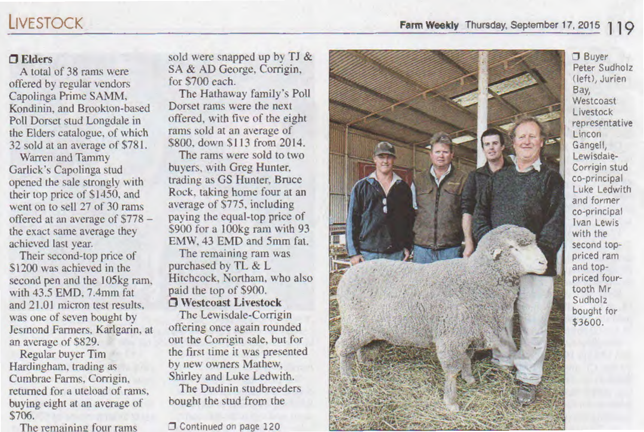## CJ Elders

A total of 38 rams were offered by regular vendors Capolinga Prime SAMM. Kondinin. and Brookton-based Poll Dorset stud Longdale in the Elders catalogue. of which 32 sold at an average of \$781.

Warren and Tammy Garlick's Capolinga stud opened the sale strongly with their top price of \$1450. and went on to sell 27 of 30 rams offered at an average of \$778 the exact same average they achieved last year.

Their second-top price of \$1200 was achieved in the second pen and the 105kg ram. with 43.5 EMD. 7.4mm fat. and 21.01 micron test results. was one of seven bought by Jesmond Farmers. Karlgarin. at an average of \$829.

Regular buver Tim Hardingham. trading as Curnbrae Farms, Corrigin. returned for a uteload of rams. buying eight at an average of \$706.

The remaining four rams

sold were snapped up by TJ & SA & AD George, Corrigin. for \$700 each.

The Hathaway family's Poll Dorset rams were the next offered, with five of the eight rams sold at an average of \$800. down \$113 from 2014.

The rams were sold to two buyers, with Greg Hunter. trading as GS Hunter, Bruce Rock. taking home four at an average of \$775. including paying the equal-top price of \$900 for a 100kg ram with 93 EMW. 43 EMD and 5mm fat.

The remaining ram was purchased by TL & L Hitchcock. Northam. who also paid the top of \$900. CJ Westcoast Livestock

The Lewisdale-Corrigin offering once again rounded out the Corrigin sale. but for the first time it was presented by new owners Mathew. Shirley and Luke Ledwith.

The Dudinin studbreeders bought the stud from the

**T** Continued on page 120



:J Buyer Peter Sudholz Cleft), Jurien Bay, Westcoast Livestock representative Lincon Gangell, Lewisdale-Corrigin stud co-principal Luke Ledwith and former co-principal Ivan Lewis with the second toppriced ram and toppriced fourtooth Mr Sudholz bought for \$3600.